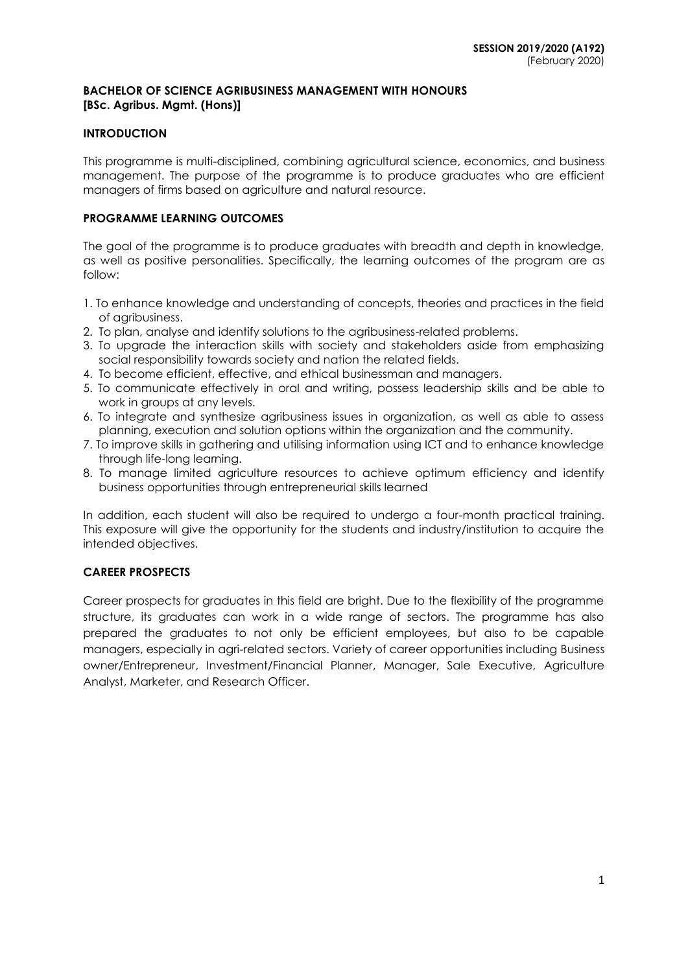## **BACHELOR OF SCIENCE AGRIBUSINESS MANAGEMENT WITH HONOURS [BSc. Agribus. Mgmt. (Hons)]**

## **INTRODUCTION**

This programme is multi-disciplined, combining agricultural science, economics, and business management. The purpose of the programme is to produce graduates who are efficient managers of firms based on agriculture and natural resource.

## **PROGRAMME LEARNING OUTCOMES**

The goal of the programme is to produce graduates with breadth and depth in knowledge, as well as positive personalities. Specifically, the learning outcomes of the program are as follow:

- 1. To enhance knowledge and understanding of concepts, theories and practices in the field of agribusiness.
- 2. To plan, analyse and identify solutions to the agribusiness-related problems.
- 3. To upgrade the interaction skills with society and stakeholders aside from emphasizing social responsibility towards society and nation the related fields.
- 4. To become efficient, effective, and ethical businessman and managers.
- 5. To communicate effectively in oral and writing, possess leadership skills and be able to work in groups at any levels.
- 6. To integrate and synthesize agribusiness issues in organization, as well as able to assess planning, execution and solution options within the organization and the community.
- 7. To improve skills in gathering and utilising information using ICT and to enhance knowledge through life-long learning.
- 8. To manage limited agriculture resources to achieve optimum efficiency and identify business opportunities through entrepreneurial skills learned

In addition, each student will also be required to undergo a four-month practical training. This exposure will give the opportunity for the students and industry/institution to acquire the intended objectives.

# **CAREER PROSPECTS**

Career prospects for graduates in this field are bright. Due to the flexibility of the programme structure, its graduates can work in a wide range of sectors. The programme has also prepared the graduates to not only be efficient employees, but also to be capable managers, especially in agri-related sectors. Variety of career opportunities including Business owner/Entrepreneur, Investment/Financial Planner, Manager, Sale Executive, Agriculture Analyst, Marketer, and Research Officer.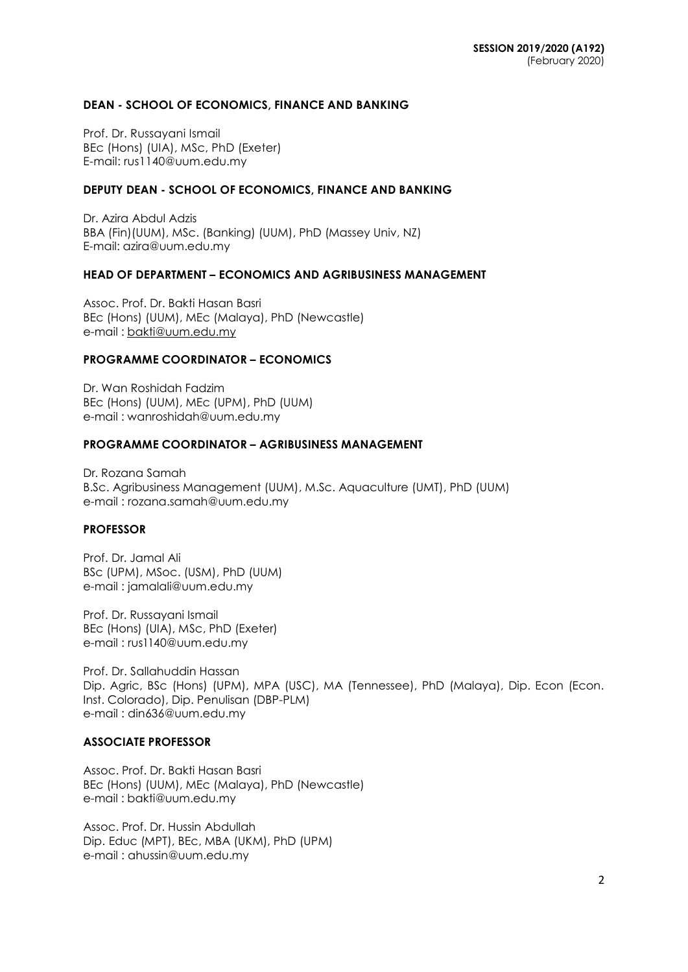### **DEAN - SCHOOL OF ECONOMICS, FINANCE AND BANKING**

Prof. Dr. Russayani Ismail BEc (Hons) (UIA), MSc, PhD (Exeter) E-mail: rus1140@uum.edu.my

#### **DEPUTY DEAN - SCHOOL OF ECONOMICS, FINANCE AND BANKING**

Dr. Azira Abdul Adzis BBA (Fin)(UUM), MSc. (Banking) (UUM), PhD (Massey Univ, NZ) E-mail: azira@uum.edu.my

# **HEAD OF DEPARTMENT – ECONOMICS AND AGRIBUSINESS MANAGEMENT**

Assoc. Prof. Dr. Bakti Hasan Basri BEc (Hons) (UUM), MEc (Malaya), PhD (Newcastle) e-mail : [bakti@uum.edu.my](mailto:bakti@uum.edu.my)

#### **PROGRAMME COORDINATOR – ECONOMICS**

Dr. Wan Roshidah Fadzim BEc (Hons) (UUM), MEc (UPM), PhD (UUM) e-mail : [wanroshidah@uum.edu.my](mailto:wanroshidah@uum.edu.my)

#### **PROGRAMME COORDINATOR – AGRIBUSINESS MANAGEMENT**

Dr. Rozana Samah B.Sc. Agribusiness Management (UUM), M.Sc. Aquaculture (UMT), PhD (UUM) e-mail : [rozana.samah@uum.edu.my](mailto:rozana.samah@uum.edu.my)

### **PROFESSOR**

Prof. Dr. Jamal Ali BSc (UPM), MSoc. (USM), PhD (UUM) e-mail : [jamalali@uum.edu.my](mailto:jamalali@uum.edu.my)

Prof. Dr. Russayani Ismail BEc (Hons) (UIA), MSc, PhD (Exeter) e-mail : [rus1140@uum.edu.my](mailto:rus1140@uum.edu.my)

Prof. Dr. Sallahuddin Hassan Dip. Agric, BSc (Hons) (UPM), MPA (USC), MA (Tennessee), PhD (Malaya), Dip. Econ (Econ. Inst. Colorado), Dip. Penulisan (DBP-PLM) e-mail : [din636@uum.edu.my](mailto:din636@uum.edu.my)

# **ASSOCIATE PROFESSOR**

Assoc. Prof. Dr. Bakti Hasan Basri BEc (Hons) (UUM), MEc (Malaya), PhD (Newcastle) e-mail : [bakti@uum.edu.my](mailto:bakti@uum.edu.my)

Assoc. Prof. Dr. Hussin Abdullah Dip. Educ (MPT), BEc, MBA (UKM), PhD (UPM) e-mail : [ahussin@uum.edu.my](mailto:ahussin@uum.edu.my)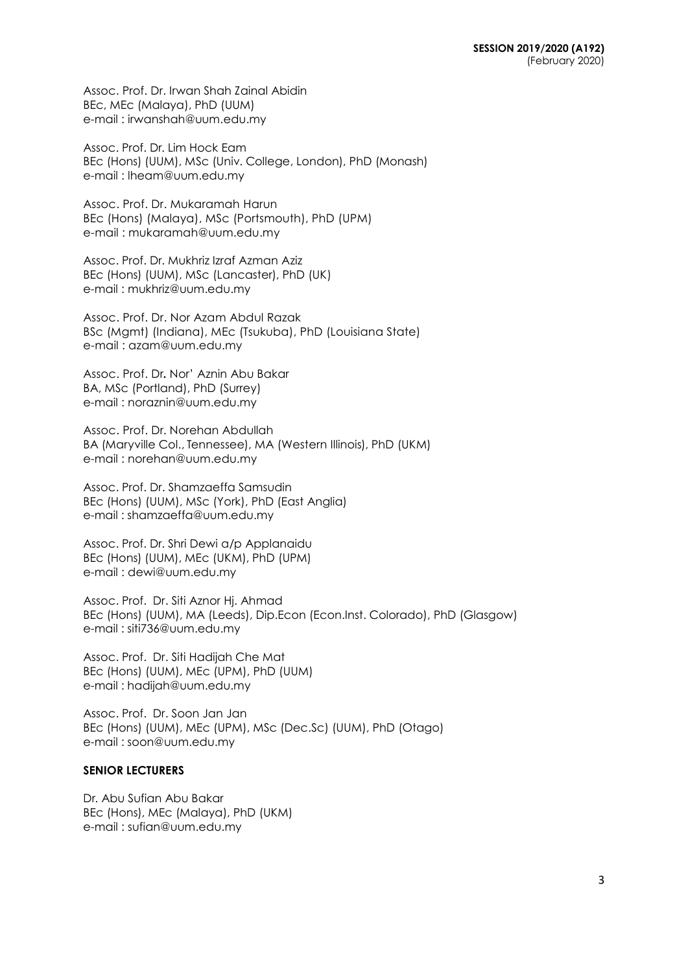Assoc. Prof. Dr. Irwan Shah Zainal Abidin BEc, MEc (Malaya), PhD (UUM) e-mail : [irwanshah@uum.edu.my](mailto:irwanshah@uum.edu.my)

Assoc. Prof. Dr. Lim Hock Eam BEc (Hons) (UUM), MSc (Univ. College, London), PhD (Monash) e-mail : [lheam@uum.edu.my](mailto:lheam@uum.edu.my)

Assoc. Prof. Dr. Mukaramah Harun BEc (Hons) (Malaya), MSc (Portsmouth), PhD (UPM) e-mail : mukaramah@uum.edu.my

Assoc. Prof. Dr. Mukhriz Izraf Azman Aziz BEc (Hons) (UUM), MSc (Lancaster), PhD (UK) e-mail : [mukhriz@uum.edu.my](mailto:mukhriz@uum.edu.my)

Assoc. Prof. Dr. Nor Azam Abdul Razak BSc (Mgmt) (Indiana), MEc (Tsukuba), PhD (Louisiana State) e-mail : [azam@uum.edu.my](mailto:azam@uum.edu.my)

Assoc. Prof. Dr**.** Nor' Aznin Abu Bakar BA, MSc (Portland), PhD (Surrey) e-mail : [noraznin@uum.edu.my](mailto:noraznin@uum.edu.my)

Assoc. Prof. Dr. Norehan Abdullah BA (Maryville Col., Tennessee), MA (Western Illinois), PhD (UKM) e-mail : [norehan@uum.edu.my](mailto:norehan@uum.edu.my)

Assoc. Prof. Dr. Shamzaeffa Samsudin BEc (Hons) (UUM), MSc (York), PhD (East Anglia) e-mail : shamzaeffa@uum.edu.my

Assoc. Prof. Dr. Shri Dewi a/p Applanaidu BEc (Hons) (UUM), MEc (UKM), PhD (UPM) e-mail : [dewi@uum.edu.my](mailto:dewi@uum.edu.my)

Assoc. Prof. Dr. Siti Aznor Hj. Ahmad BEc (Hons) (UUM), MA (Leeds), Dip.Econ (Econ.Inst. Colorado), PhD (Glasgow) e-mail : siti736@uum.edu.my

Assoc. Prof. Dr. Siti Hadijah Che Mat BEc (Hons) (UUM), MEc (UPM), PhD (UUM) e-mail : [hadijah@uum.edu.my](mailto:hadijah@uum.edu.my)

Assoc. Prof. Dr. Soon Jan Jan BEc (Hons) (UUM), MEc (UPM), MSc (Dec.Sc) (UUM), PhD (Otago) e-mail : soon@uum.edu.my

## **SENIOR LECTURERS**

Dr. Abu Sufian Abu Bakar BEc (Hons), MEc (Malaya), PhD (UKM) e-mail : [sufian@uum.edu.my](mailto:sufian@uum.edu.my)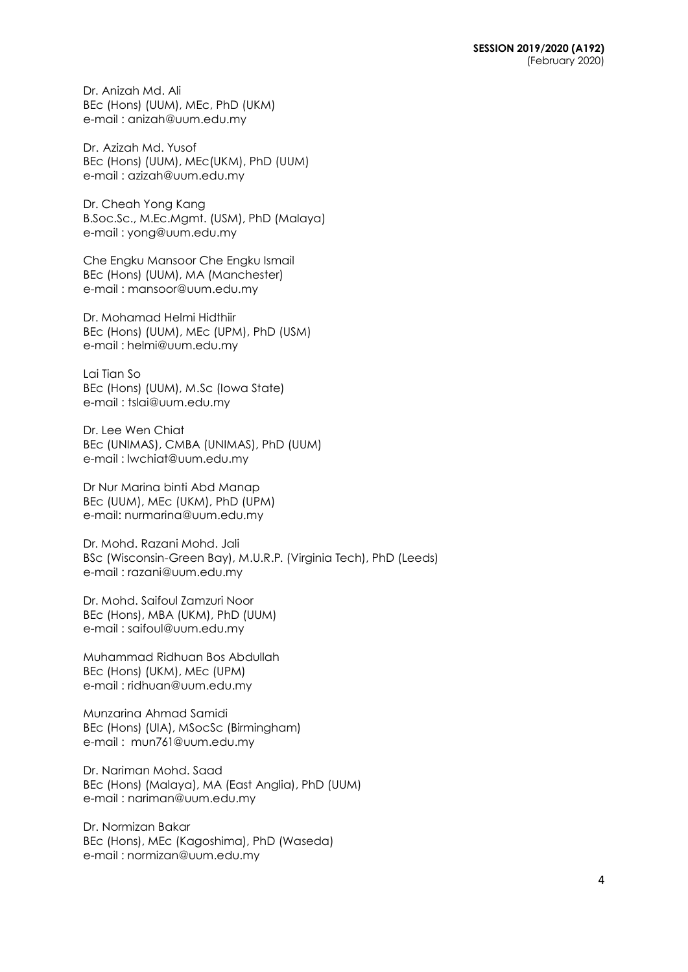Dr. Anizah Md. Ali BEc (Hons) (UUM), MEc, PhD (UKM) e-mail : [anizah@uum.edu.my](mailto:anizah@uum.edu.my)

Dr. Azizah Md. Yusof BEc (Hons) (UUM), MEc(UKM), PhD (UUM) e-mail : [azizah@uum.edu.my](mailto:azizah@uum.edu.my)

Dr. Cheah Yong Kang B.Soc.Sc., M.Ec.Mgmt. (USM), PhD (Malaya) e-mail : [yong@uum.edu.my](mailto:yong@uum.edu.my)

Che Engku Mansoor Che Engku Ismail BEc (Hons) (UUM), MA (Manchester) e-mail : [mansoor@uum.edu.my](mailto:mansoor@uum.edu.my)

Dr. Mohamad Helmi Hidthiir BEc (Hons) (UUM), MEc (UPM), PhD (USM) e-mail : helmi@uum.edu.my

Lai Tian So BEc (Hons) (UUM), M.Sc (Iowa State) e-mail : [tslai@uum.edu.my](mailto:tslai@uum.edu.my)

Dr. Lee Wen Chiat BEc (UNIMAS), CMBA (UNIMAS), PhD (UUM) e-mail : lwchiat@uum.edu.my

Dr Nur Marina binti Abd Manap BEc (UUM), MEc (UKM), PhD (UPM) e-mail: nu[rmarina@uum.edu.my](mailto:marina@uum.edu.my)

Dr. Mohd. Razani Mohd. Jali BSc (Wisconsin-Green Bay), M.U.R.P. (Virginia Tech), PhD (Leeds) e-mail : [razani@uum.edu.my](mailto:razani@uum.edu.my)

Dr. Mohd. Saifoul Zamzuri Noor BEc (Hons), MBA (UKM), PhD (UUM) e-mail : [saifoul@uum.edu.my](mailto:saifoul@uum.edu.my)

Muhammad Ridhuan Bos Abdullah BEc (Hons) (UKM), MEc (UPM) e-mail : [ridhuan@uum.edu.my](mailto:ridhuan@uum.edu.my)

Munzarina Ahmad Samidi BEc (Hons) (UIA), MSocSc (Birmingham) e-mail : [mun761@uum.edu.my](mailto:mun761@uum.edu.my)

Dr. Nariman Mohd. Saad BEc (Hons) (Malaya), MA (East Anglia), PhD (UUM) e-mail : [nariman@uum.edu.my](mailto:nariman@uum.edu.my)

Dr. Normizan Bakar BEc (Hons), MEc (Kagoshima), PhD (Waseda) e-mail : [normizan@uum.edu.my](mailto:normizan@uum.edu.my)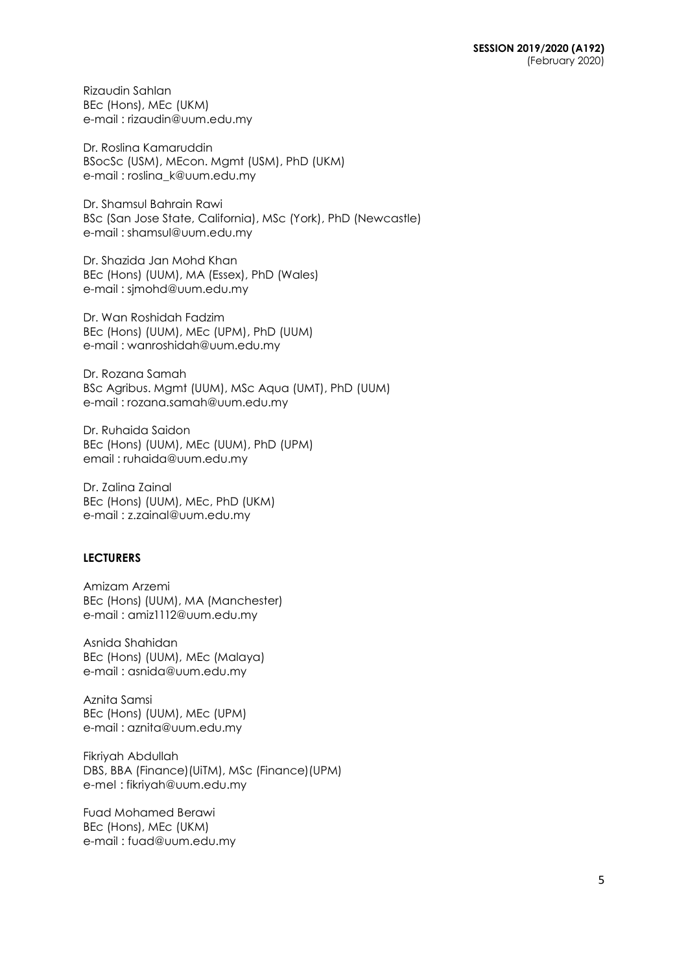Rizaudin Sahlan BEc (Hons), MEc (UKM) e-mail : [rizaudin@uum.edu.my](mailto:rizaudin@uum.edu.my)

Dr. Roslina Kamaruddin BSocSc (USM), MEcon. Mgmt (USM), PhD (UKM) e-mail : [roslina\\_k@uum.edu.my](mailto:roslina_k@uum.edu.my)

Dr. Shamsul Bahrain Rawi BSc (San Jose State, California), MSc (York), PhD (Newcastle) e-mail : [shamsul@uum.edu.my](mailto:shamsul@uum.edu.my)

Dr. Shazida Jan Mohd Khan BEc (Hons) (UUM), MA (Essex), PhD (Wales) e-mail : sjmohd@uum.edu.my

Dr. Wan Roshidah Fadzim BEc (Hons) (UUM), MEc (UPM), PhD (UUM) e-mail : [wanroshidah@uum.edu.my](mailto:wanroshidah@uum.edu.my)

Dr. Rozana Samah BSc Agribus. Mgmt (UUM), MSc Aqua (UMT), PhD (UUM) e-mail : rozana.samah@uum.edu.my

Dr. Ruhaida Saidon BEc (Hons) (UUM), MEc (UUM), PhD (UPM) email : ruhaida@uum.edu.my

Dr. Zalina Zainal BEc (Hons) (UUM), MEc, PhD (UKM) e-mail : [z.zainal@uum.edu.my](mailto:z.zainal@uum.edu.my)

## **LECTURERS**

Amizam Arzemi BEc (Hons) (UUM), MA (Manchester) e-mail : [amiz1112@uum.edu.my](mailto:amiz1112@uum.edu.my)

Asnida Shahidan BEc (Hons) (UUM), MEc (Malaya) e-mail : [asnida@uum.edu.my](mailto:asnida@uum.edu.my)

Aznita Samsi BEc (Hons) (UUM), MEc (UPM) e-mail : [aznita@uum.edu.my](mailto:aznita@uum.edu.my)

Fikriyah Abdullah DBS, BBA (Finance)(UiTM), MSc (Finance)(UPM) e-mel : [fikriyah@uum.edu.my](mailto:fikriyah@uum.edu.my)

Fuad Mohamed Berawi BEc (Hons), MEc (UKM) e-mail : [fuad@uum.edu.my](mailto:fuad@uum.edu.my)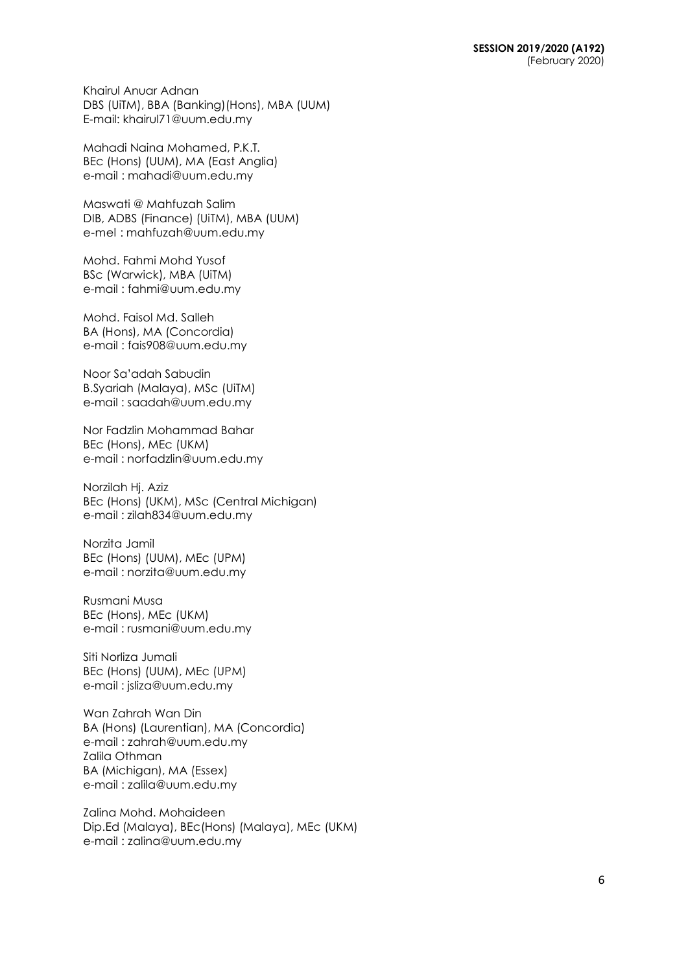Khairul Anuar Adnan DBS (UiTM), BBA (Banking)(Hons), MBA (UUM) E-mail: khairul71@uum.edu.my

Mahadi Naina Mohamed, P.K.T. BEc (Hons) (UUM), MA (East Anglia) e-mail : [mahadi@uum.edu.my](mailto:mahadi@uum.edu.my)

Maswati @ Mahfuzah Salim DIB, ADBS (Finance) (UiTM), MBA (UUM) e-mel : [mahfuzah@uum.edu.my](mailto:mahfuzah@uum.edu.my)

Mohd. Fahmi Mohd Yusof BSc (Warwick), MBA (UiTM) e-mail : [fahmi@uum.edu.my](mailto:fahmi@uum.edu.my)

Mohd. Faisol Md. Salleh BA (Hons), MA (Concordia) e-mail : [fais908@uum.edu.my](mailto:fais908@uum.edu.my)

Noor Sa'adah Sabudin B.Syariah (Malaya), MSc (UiTM) e-mail : [saadah@uum.edu.my](mailto:saadah@uum.edu.my)

Nor Fadzlin Mohammad Bahar BEc (Hons), MEc (UKM) e-mail : [norfadzlin@uum.edu.my](mailto:norfadzlin@uum.edu.my)

Norzilah Hj. Aziz BEc (Hons) (UKM), MSc (Central Michigan) e-mail : [zilah834@uum.edu.my](mailto:zilah834@uum.edu.my)

Norzita Jamil BEc (Hons) (UUM), MEc (UPM) e-mail : [norzita@uum.edu.my](mailto:norzita@uum.edu.my)

Rusmani Musa BEc (Hons), MEc (UKM) e-mail : [rusmani@uum.edu.my](mailto:rusmani@uum.edu.my)

Siti Norliza Jumali BEc (Hons) (UUM), MEc (UPM) e-mail : [jsliza@uum.edu.my](mailto:jsliza@uum.edu.my)

Wan Zahrah Wan Din BA (Hons) (Laurentian), MA (Concordia) e-mail : [zahrah@uum.edu.my](mailto:zahrah@uum.edu.my) Zalila Othman BA (Michigan), MA (Essex) e-mail : [zalila@uum.edu.my](mailto:zalila@uum.edu.my)

Zalina Mohd. Mohaideen Dip.Ed (Malaya), BEc(Hons) (Malaya), MEc (UKM) e-mail : [zalina@uum.edu.my](mailto:zalina@uum.edu.my)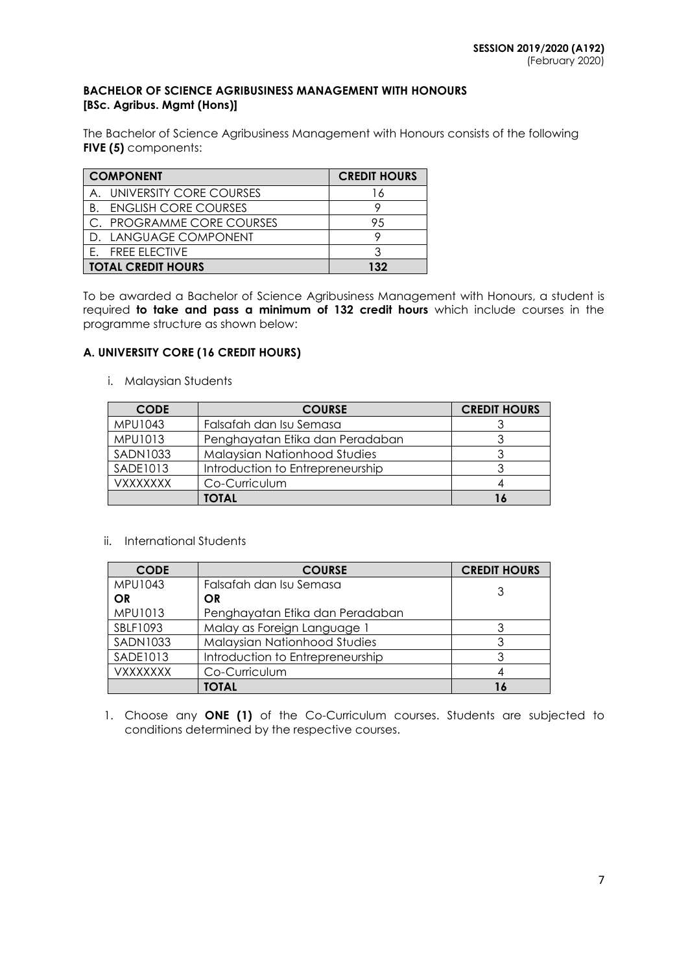### **BACHELOR OF SCIENCE AGRIBUSINESS MANAGEMENT WITH HONOURS [BSc. Agribus. Mgmt (Hons)]**

The Bachelor of Science Agribusiness Management with Honours consists of the following **FIVE (5)** components:

| <b>COMPONENT</b>               | <b>CREDIT HOURS</b> |    |
|--------------------------------|---------------------|----|
| A. UNIVERSITY CORE COURSES     |                     | ۱6 |
| <b>B. ENGLISH CORE COURSES</b> |                     |    |
| C. PROGRAMME CORE COURSES      |                     | 95 |
| D. LANGUAGE COMPONENT          |                     |    |
| <b>FREE ELECTIVE</b>           |                     |    |
| <b>TOTAL CREDIT HOURS</b>      | 132                 |    |

To be awarded a Bachelor of Science Agribusiness Management with Honours, a student is required **to take and pass a minimum of 132 credit hours** which include courses in the programme structure as shown below:

# **A. UNIVERSITY CORE (16 CREDIT HOURS)**

i. Malaysian Students

| <b>CODE</b>     | <b>COURSE</b>                    | <b>CREDIT HOURS</b> |
|-----------------|----------------------------------|---------------------|
| MPU1043         | Falsafah dan Isu Semasa          |                     |
| MPU1013         | Penghayatan Etika dan Peradaban  |                     |
| <b>SADN1033</b> | Malaysian Nationhood Studies     |                     |
| <b>SADE1013</b> | Introduction to Entrepreneurship |                     |
| VXXXXXXX        | Co-Curriculum                    |                     |
|                 | TOTAL                            |                     |

#### ii. International Students

| <b>CODE</b>     | <b>COURSE</b>                    | <b>CREDIT HOURS</b> |
|-----------------|----------------------------------|---------------------|
| <b>MPU1043</b>  | Falsafah dan Isu Semasa          | 3                   |
| OR              | OR.                              |                     |
| MPU1013         | Penghayatan Etika dan Peradaban  |                     |
| SBLF1093        | Malay as Foreign Language 1      |                     |
| <b>SADN1033</b> | Malaysian Nationhood Studies     | 3                   |
| SADE1013        | Introduction to Entrepreneurship | 3                   |
| <b>VXXXXXXX</b> | Co-Curriculum                    |                     |
|                 | <b>TOTAL</b>                     |                     |

1. Choose any **ONE (1)** of the Co-Curriculum courses. Students are subjected to conditions determined by the respective courses.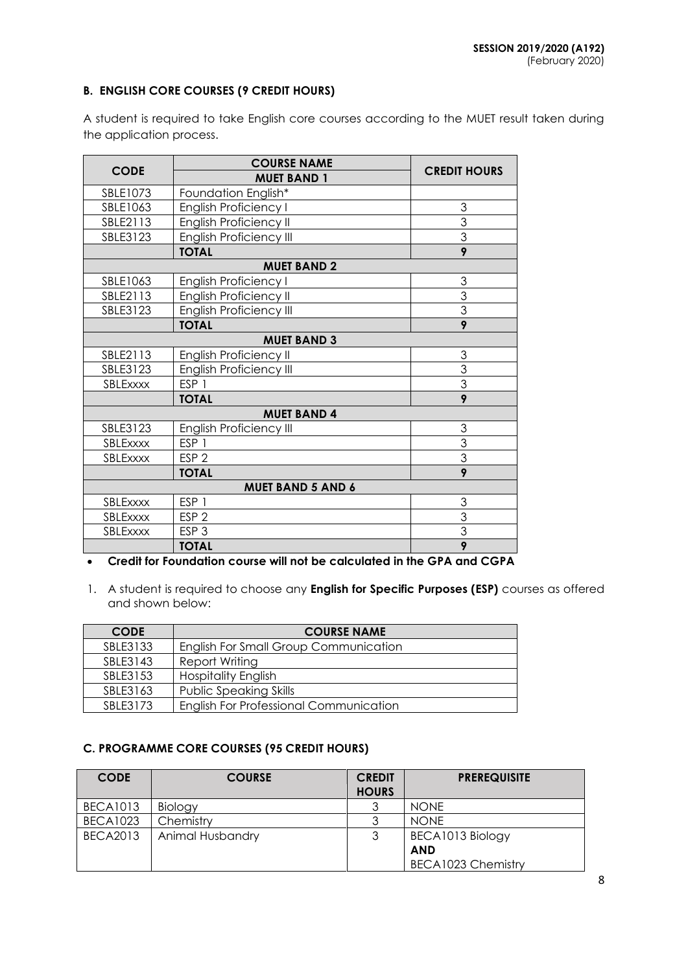# **B. ENGLISH CORE COURSES (9 CREDIT HOURS)**

A student is required to take English core courses according to the MUET result taken during the application process.

|                          | <b>COURSE NAME</b>             | <b>CREDIT HOURS</b> |  |  |  |
|--------------------------|--------------------------------|---------------------|--|--|--|
| <b>CODE</b>              | <b>MUET BAND 1</b>             |                     |  |  |  |
| SBLE1073                 | Foundation English*            |                     |  |  |  |
| SBLE1063                 | English Proficiency I          | 3                   |  |  |  |
| SBLE2113                 | English Proficiency II         | $\overline{3}$      |  |  |  |
| SBLE3123                 | <b>English Proficiency III</b> | $\overline{3}$      |  |  |  |
|                          | <b>TOTAL</b>                   | 9                   |  |  |  |
|                          | <b>MUET BAND 2</b>             |                     |  |  |  |
| SBLE1063                 | English Proficiency I          | 3                   |  |  |  |
| SBLE2113                 | English Proficiency II         | 3<br>$\overline{3}$ |  |  |  |
| SBLE3123                 | <b>English Proficiency III</b> |                     |  |  |  |
|                          | <b>TOTAL</b>                   | $\overline{9}$      |  |  |  |
|                          | <b>MUET BAND 3</b>             |                     |  |  |  |
| SBLE2113                 | English Proficiency II         | 3                   |  |  |  |
| SBLE3123                 | English Proficiency III        | $\overline{3}$      |  |  |  |
| SBLExxxx                 | ESP <sub>1</sub>               | $\overline{3}$      |  |  |  |
|                          | <b>TOTAL</b>                   | $\overline{9}$      |  |  |  |
|                          | <b>MUET BAND 4</b>             |                     |  |  |  |
| SBLE3123                 | English Proficiency III        | 3                   |  |  |  |
| SBLExxxx                 | ESP <sub>1</sub>               | 3                   |  |  |  |
| SBLExxxx                 | ESP <sub>2</sub>               | $\overline{3}$      |  |  |  |
|                          | <b>TOTAL</b>                   | 9                   |  |  |  |
| <b>MUET BAND 5 AND 6</b> |                                |                     |  |  |  |
| SBLExxxx                 | ESP <sub>1</sub>               | 3                   |  |  |  |
| SBLExxxx                 | ESP <sub>2</sub>               | $\overline{3}$      |  |  |  |
| SBLExxxx                 | ESP <sub>3</sub>               | $\overline{3}$      |  |  |  |
|                          | <b>TOTAL</b>                   | $\overline{9}$      |  |  |  |

# **Credit for Foundation course will not be calculated in the GPA and CGPA**

1. A student is required to choose any **English for Specific Purposes (ESP)** courses as offered and shown below:

| <b>CODE</b> | <b>COURSE NAME</b>                            |
|-------------|-----------------------------------------------|
| SBLE3133    | English For Small Group Communication         |
| SBLE3143    | Report Writing                                |
| SBLE3153    | <b>Hospitality English</b>                    |
| SBLE3163    | <b>Public Speaking Skills</b>                 |
| SBI F3173   | <b>English For Professional Communication</b> |

# **C. PROGRAMME CORE COURSES (95 CREDIT HOURS)**

| <b>CODE</b>     | <b>COURSE</b>    | <b>CREDIT</b> | <b>PREREQUISITE</b> |  |
|-----------------|------------------|---------------|---------------------|--|
|                 |                  | <b>HOURS</b>  |                     |  |
| <b>BECA1013</b> | Biology          |               | <b>NONE</b>         |  |
| <b>BECA1023</b> | Chemistry        |               | <b>NONE</b>         |  |
| <b>BECA2013</b> | Animal Husbandry |               | BECA1013 Biology    |  |
|                 |                  |               | <b>AND</b>          |  |
|                 |                  |               | BECA1023 Chemistry  |  |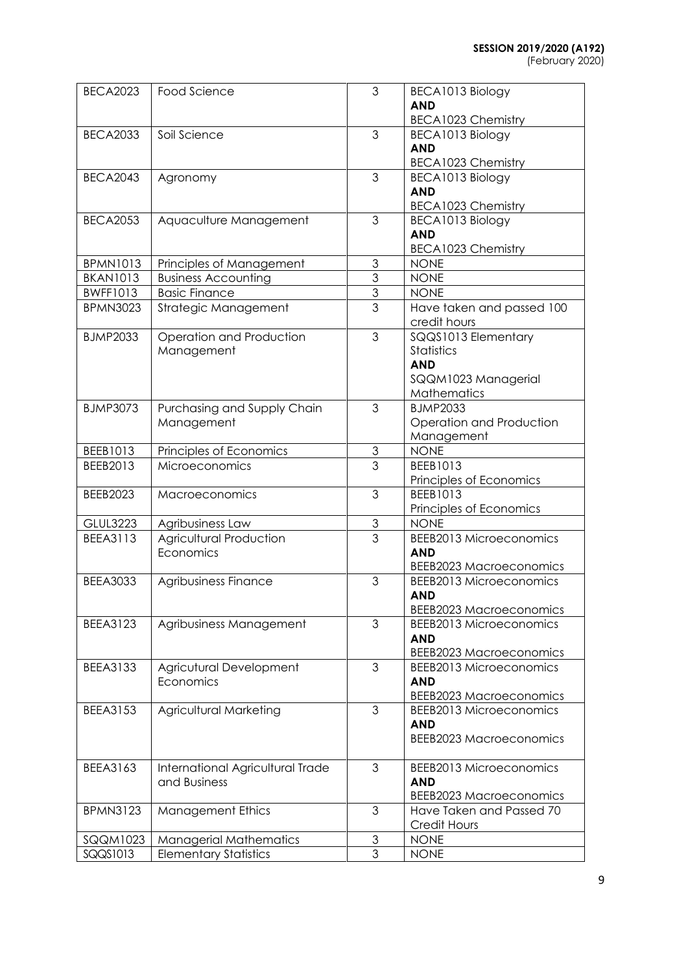| <b>BECA2023</b> | Food Science                     | 3              | BECA1013 Biology               |
|-----------------|----------------------------------|----------------|--------------------------------|
|                 |                                  |                | <b>AND</b>                     |
|                 |                                  |                | <b>BECA1023 Chemistry</b>      |
| <b>BECA2033</b> | Soil Science                     | 3              | BECA1013 Biology               |
|                 |                                  |                | <b>AND</b>                     |
|                 |                                  |                | BECA1023 Chemistry             |
| <b>BECA2043</b> | Agronomy                         | 3              | BECA1013 Biology               |
|                 |                                  |                | <b>AND</b>                     |
|                 |                                  |                | BECA1023 Chemistry             |
| <b>BECA2053</b> | Aquaculture Management           | 3              | BECA1013 Biology               |
|                 |                                  |                | <b>AND</b>                     |
|                 |                                  |                | BECA1023 Chemistry             |
| <b>BPMN1013</b> | Principles of Management         | 3              | <b>NONE</b>                    |
| <b>BKAN1013</b> | <b>Business Accounting</b>       | 3              | <b>NONE</b>                    |
| <b>BWFF1013</b> | <b>Basic Finance</b>             | $\mathfrak{S}$ | <b>NONE</b>                    |
| <b>BPMN3023</b> | Strategic Management             | 3              | Have taken and passed 100      |
|                 |                                  |                | credit hours                   |
| <b>BJMP2033</b> | Operation and Production         | 3              | SQQS1013 Elementary            |
|                 | Management                       |                | Statistics                     |
|                 |                                  |                | <b>AND</b>                     |
|                 |                                  |                | SQQM1023 Managerial            |
|                 |                                  |                | Mathematics                    |
| <b>BJMP3073</b> | Purchasing and Supply Chain      | 3              | <b>BJMP2033</b>                |
|                 | Management                       |                | Operation and Production       |
|                 |                                  |                | Management                     |
| BEEB1013        | Principles of Economics          | $\overline{3}$ | <b>NONE</b>                    |
| BEEB2013        | Microeconomics                   | $\overline{3}$ | BEEB1013                       |
|                 |                                  |                | Principles of Economics        |
| BEEB2023        | Macroeconomics                   | 3              | BEEB1013                       |
|                 |                                  |                | Principles of Economics        |
| <b>GLUL3223</b> | Agribusiness Law                 | $\overline{3}$ | <b>NONE</b>                    |
| <b>BEEA3113</b> | Agricultural Production          | $\overline{3}$ | <b>BEEB2013 Microeconomics</b> |
|                 | Economics                        |                | <b>AND</b>                     |
|                 |                                  |                | <b>BEEB2023 Macroeconomics</b> |
| <b>BEEA3033</b> | Agribusiness Finance             | 3              | <b>BEEB2013 Microeconomics</b> |
|                 |                                  |                | AND                            |
|                 |                                  |                | <b>BEEB2023 Macroeconomics</b> |
| <b>BEEA3123</b> | Agribusiness Management          | 3              | <b>BEEB2013 Microeconomics</b> |
|                 |                                  |                | <b>AND</b>                     |
|                 |                                  |                | <b>BEEB2023 Macroeconomics</b> |
| <b>BEEA3133</b> | Agricutural Development          | 3              | <b>BEEB2013 Microeconomics</b> |
|                 | Economics                        |                | <b>AND</b>                     |
|                 |                                  | 3              | <b>BEEB2023 Macroeconomics</b> |
| <b>BEEA3153</b> | <b>Agricultural Marketing</b>    |                | <b>BEEB2013 Microeconomics</b> |
|                 |                                  |                | <b>AND</b>                     |
|                 |                                  |                | <b>BEEB2023 Macroeconomics</b> |
| BEEA3163        | International Agricultural Trade | 3              | <b>BEEB2013 Microeconomics</b> |
|                 | and Business                     |                | <b>AND</b>                     |
|                 |                                  |                | <b>BEEB2023 Macroeconomics</b> |
| <b>BPMN3123</b> | <b>Management Ethics</b>         | 3              | Have Taken and Passed 70       |
|                 |                                  |                | Credit Hours                   |
| SQQM1023        | <b>Managerial Mathematics</b>    | 3              | <b>NONE</b>                    |
| SQQS1013        | <b>Elementary Statistics</b>     | 3              | <b>NONE</b>                    |
|                 |                                  |                |                                |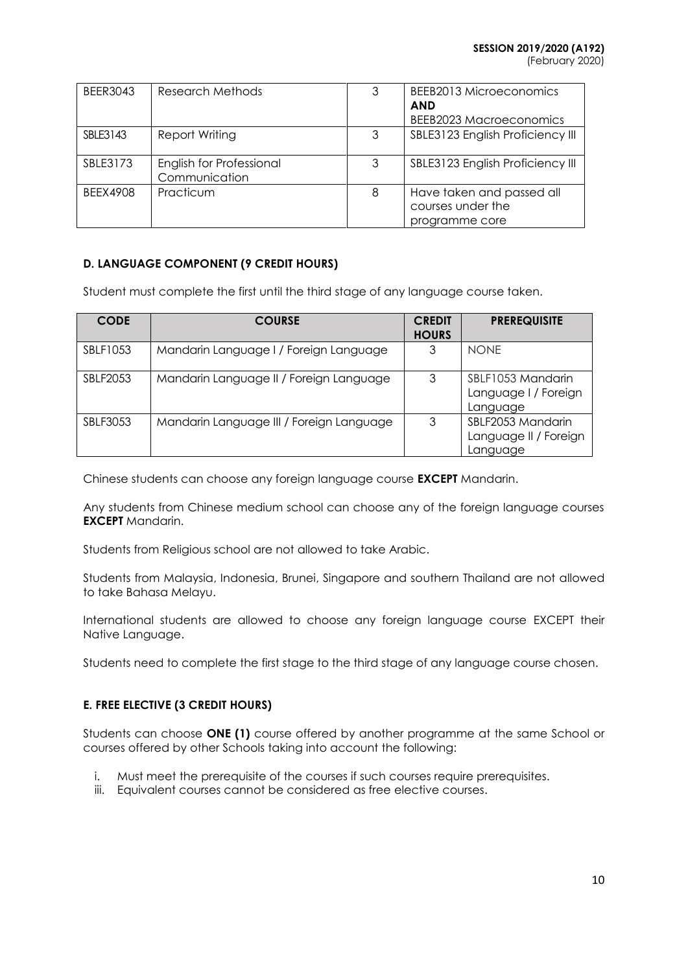(February 2020)

| <b>BEER3043</b> | Research Methods                          | 3 | BEEB2013 Microeconomics<br><b>AND</b><br>BEEB2023 Macroeconomics |
|-----------------|-------------------------------------------|---|------------------------------------------------------------------|
| SBLE3143        | Report Writing                            | 3 | SBLE3123 English Proficiency III                                 |
| SBLE3173        | English for Professional<br>Communication | 3 | SBLE3123 English Proficiency III                                 |
| <b>BEEX4908</b> | Practicum                                 | 8 | Have taken and passed all<br>courses under the<br>programme core |

# **D. LANGUAGE COMPONENT (9 CREDIT HOURS)**

Student must complete the first until the third stage of any language course taken.

| <b>CODE</b> | <b>COURSE</b>                            | <b>CREDIT</b><br><b>HOURS</b> | <b>PREREQUISITE</b>                                    |
|-------------|------------------------------------------|-------------------------------|--------------------------------------------------------|
| SBLF1053    | Mandarin Language I / Foreign Language   |                               | <b>NONE</b>                                            |
| SBLF2053    | Mandarin Language II / Foreign Language  | 3                             | SBLF1053 Mandarin<br>Language I / Foreign<br>Language  |
| SBLF3053    | Mandarin Language III / Foreign Language | 3                             | SBLF2053 Mandarin<br>Language II / Foreign<br>Language |

Chinese students can choose any foreign language course **EXCEPT** Mandarin.

Any students from Chinese medium school can choose any of the foreign language courses **EXCEPT** Mandarin.

Students from Religious school are not allowed to take Arabic.

Students from Malaysia, Indonesia, Brunei, Singapore and southern Thailand are not allowed to take Bahasa Melayu.

International students are allowed to choose any foreign language course EXCEPT their Native Language.

Students need to complete the first stage to the third stage of any language course chosen.

# **E. FREE ELECTIVE (3 CREDIT HOURS)**

Students can choose **ONE (1)** course offered by another programme at the same School or courses offered by other Schools taking into account the following:

- i. Must meet the prerequisite of the courses if such courses require prerequisites.
- iii. Equivalent courses cannot be considered as free elective courses.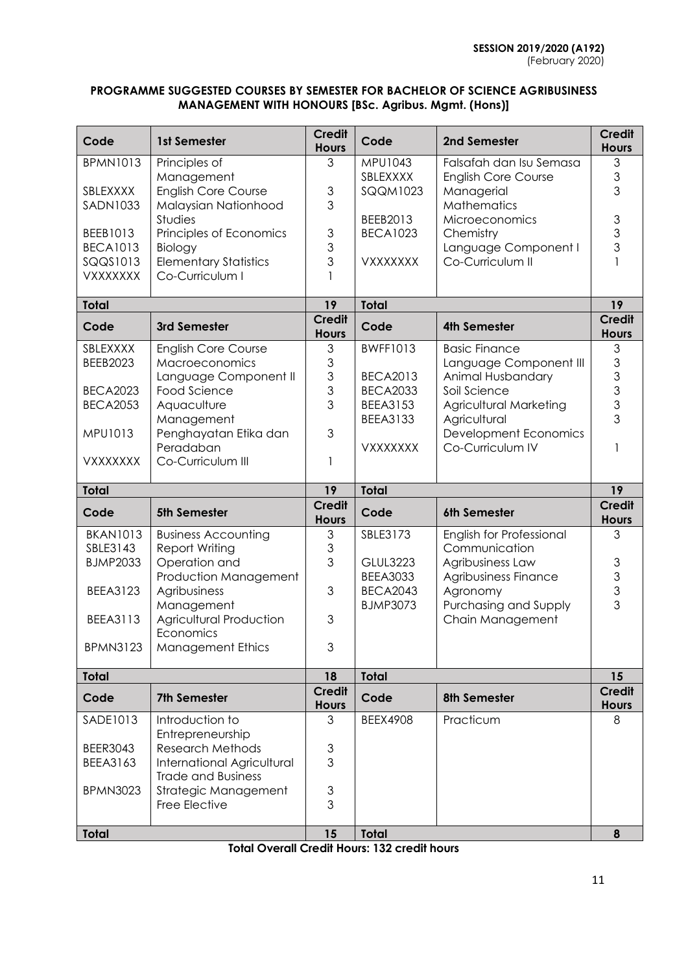## **PROGRAMME SUGGESTED COURSES BY SEMESTER FOR BACHELOR OF SCIENCE AGRIBUSINESS MANAGEMENT WITH HONOURS [BSc. Agribus. Mgmt. (Hons)]**

| Code                        | 1st Semester                                          | <b>Credit</b><br><b>Hours</b>                      | Code                               | 2nd Semester                                | <b>Credit</b><br><b>Hours</b>                                                                          |
|-----------------------------|-------------------------------------------------------|----------------------------------------------------|------------------------------------|---------------------------------------------|--------------------------------------------------------------------------------------------------------|
| <b>BPMN1013</b>             | Principles of                                         | 3                                                  | MPU1043                            | Falsafah dan Isu Semasa                     | 3                                                                                                      |
| SBLEXXXX                    | Management<br><b>English Core Course</b>              | $\mathfrak 3$                                      | SBLEXXXX<br><b>SQQM1023</b>        | <b>English Core Course</b><br>Managerial    | 3<br>3                                                                                                 |
| <b>SADN1033</b>             | Malaysian Nationhood                                  | 3                                                  |                                    | Mathematics                                 |                                                                                                        |
|                             | Studies                                               |                                                    | BEEB2013                           | Microeconomics                              | $\mathfrak{S}% _{A}^{\ast}=\mathfrak{S}_{A}\!\left( A;B\right) ,\ \mathfrak{S}_{A}\!\left( A;B\right)$ |
| BEEB1013                    | Principles of Economics                               | $\mathfrak 3$                                      | <b>BECA1023</b>                    | Chemistry                                   | 3                                                                                                      |
| <b>BECA1013</b><br>SQQS1013 | Biology<br><b>Elementary Statistics</b>               | 3<br>3                                             | VXXXXXXX                           | Language Component I<br>Co-Curriculum II    | 3                                                                                                      |
| <b>VXXXXXXX</b>             | Co-Curriculum I                                       |                                                    |                                    |                                             |                                                                                                        |
|                             |                                                       |                                                    |                                    |                                             |                                                                                                        |
| <b>Total</b>                |                                                       | 19<br><b>Credit</b>                                | <b>Total</b>                       |                                             | 19<br><b>Credit</b>                                                                                    |
| Code                        | 3rd Semester                                          | <b>Hours</b>                                       | Code                               | <b>4th Semester</b>                         | <b>Hours</b>                                                                                           |
| SBLEXXXX<br><b>BEEB2023</b> | <b>English Core Course</b><br>Macroeconomics          | 3                                                  | <b>BWFF1013</b>                    | <b>Basic Finance</b>                        | 3                                                                                                      |
|                             | Language Component II                                 | $\ensuremath{\mathsf{3}}$<br>3                     | <b>BECA2013</b>                    | Language Component III<br>Animal Husbandary | 3<br>$\mathfrak 3$                                                                                     |
| <b>BECA2023</b>             | Food Science                                          | 3                                                  | <b>BECA2033</b>                    | Soil Science                                | 3                                                                                                      |
| <b>BECA2053</b>             | Aquaculture                                           | 3                                                  | <b>BEEA3153</b>                    | Agricultural Marketing                      | 3                                                                                                      |
| MPU1013                     | Management                                            | 3                                                  | <b>BEEA3133</b>                    | Agricultural                                | 3                                                                                                      |
|                             | Penghayatan Etika dan<br>Peradaban                    |                                                    | <b>VXXXXXXX</b>                    | Development Economics<br>Co-Curriculum IV   |                                                                                                        |
| <b>VXXXXXXX</b>             | Co-Curriculum III                                     | 1                                                  |                                    |                                             |                                                                                                        |
|                             |                                                       |                                                    |                                    |                                             |                                                                                                        |
| <b>Total</b>                |                                                       | 19                                                 | <b>Total</b>                       |                                             | 19                                                                                                     |
| Code                        | 5th Semester                                          | <b>Credit</b><br><b>Hours</b>                      | Code                               | 6th Semester                                | <b>Credit</b><br><b>Hours</b>                                                                          |
| <b>BKAN1013</b>             | <b>Business Accounting</b>                            | 3                                                  | SBLE3173                           | English for Professional                    | 3                                                                                                      |
| SBLE3143                    | Report Writing                                        | $\mathfrak 3$                                      |                                    | Communication                               |                                                                                                        |
| <b>BJMP2033</b>             | Operation and                                         | 3                                                  | <b>GLUL3223</b>                    | Agribusiness Law                            |                                                                                                        |
| BEEA3123                    | Production Management<br>Agribusiness                 | 3                                                  | <b>BEEA3033</b><br><b>BECA2043</b> | Agribusiness Finance<br>Agronomy            | $\begin{array}{c} 3 \\ 3 \\ 3 \end{array}$                                                             |
|                             | Management                                            |                                                    | <b>BJMP3073</b>                    | Purchasing and Supply                       | 3                                                                                                      |
| <b>BEEA3113</b>             | <b>Agricultural Production</b><br>Economics           | 3                                                  |                                    | Chain Management                            |                                                                                                        |
| <b>BPMN3123</b>             | <b>Management Ethics</b>                              | 3                                                  |                                    |                                             |                                                                                                        |
| <b>Total</b>                |                                                       | 18                                                 | <b>Total</b>                       |                                             | 15                                                                                                     |
| Code                        | <b>7th Semester</b>                                   | <b>Credit</b><br><b>Hours</b>                      | Code                               | 8th Semester                                | <b>Credit</b><br><b>Hours</b>                                                                          |
| SADE1013                    | Introduction to                                       | 3                                                  | <b>BEEX4908</b>                    | Practicum                                   | 8                                                                                                      |
|                             | Entrepreneurship                                      |                                                    |                                    |                                             |                                                                                                        |
| <b>BEER3043</b><br>BEEA3163 | <b>Research Methods</b><br>International Agricultural | $\mathfrak{S}% _{C}=\mathfrak{S}_{C}^{\ast }$<br>3 |                                    |                                             |                                                                                                        |
|                             | <b>Trade and Business</b>                             |                                                    |                                    |                                             |                                                                                                        |
| <b>BPMN3023</b>             | Strategic Management                                  | $\ensuremath{\mathsf{3}}$                          |                                    |                                             |                                                                                                        |
|                             | Free Elective                                         | 3                                                  |                                    |                                             |                                                                                                        |

**Total Overall Credit Hours: 132 credit hours**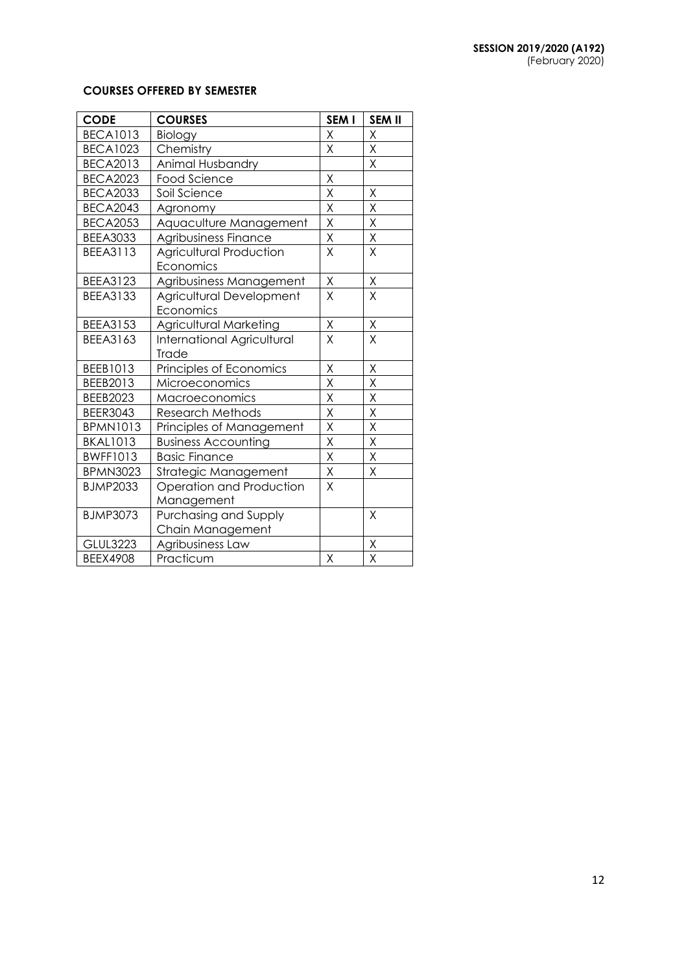# **COURSES OFFERED BY SEMESTER**

| <b>CODE</b>     | <b>COURSES</b>                    | SEM I                   | <b>SEM II</b>           |
|-----------------|-----------------------------------|-------------------------|-------------------------|
| <b>BECA1013</b> | Biology                           | X                       | X                       |
| <b>BECA1023</b> | Chemistry                         | Χ                       | Χ                       |
| <b>BECA2013</b> | Animal Husbandry                  |                         | Χ                       |
| <b>BECA2023</b> | <b>Food Science</b>               | X                       |                         |
| <b>BECA2033</b> | Soil Science                      | X                       | Χ                       |
| <b>BECA2043</b> | Agronomy                          | $\mathsf X$             | Χ                       |
| <b>BECA2053</b> | Aquaculture Management            | Χ                       | Χ                       |
| <b>BEEA3033</b> | Agribusiness Finance              | X                       | X                       |
| <b>BEEA3113</b> | <b>Agricultural Production</b>    | $\sf X$                 | X                       |
|                 | Economics                         |                         |                         |
| BEEA3123        | Agribusiness Management           | Χ                       | Χ                       |
| <b>BEEA3133</b> | Agricultural Development          | $\sf X$                 | X                       |
|                 | Economics                         |                         |                         |
| BEEA3153        | <b>Agricultural Marketing</b>     | $\mathsf X$             | $\mathsf X$             |
| BEEA3163        | <b>International Agricultural</b> | X                       | X                       |
|                 | Trade                             |                         |                         |
| BEEB1013        | Principles of Economics           | Χ                       | Χ                       |
| BEEB2013        | Microeconomics                    | X                       | X                       |
| <b>BEEB2023</b> | Macroeconomics                    | X                       | X                       |
| <b>BEER3043</b> | <b>Research Methods</b>           | X                       | X                       |
| <b>BPMN1013</b> | Principles of Management          | X                       | $\sf X$                 |
| <b>BKAL1013</b> | <b>Business Accounting</b>        | $\mathsf X$             | Χ                       |
| <b>BWFF1013</b> | <b>Basic Finance</b>              | $\overline{\mathsf{x}}$ | $\overline{\mathsf{x}}$ |
| <b>BPMN3023</b> | Strategic Management              | X                       | Χ                       |
| <b>BJMP2033</b> | Operation and Production          | X                       |                         |
|                 | Management                        |                         |                         |
| <b>BJMP3073</b> | Purchasing and Supply             |                         | X                       |
|                 | Chain Management                  |                         |                         |
| <b>GLUL3223</b> | Agribusiness Law                  |                         | Χ                       |
| <b>BEEX4908</b> | Practicum                         | $\sf X$                 | $\overline{\mathsf{X}}$ |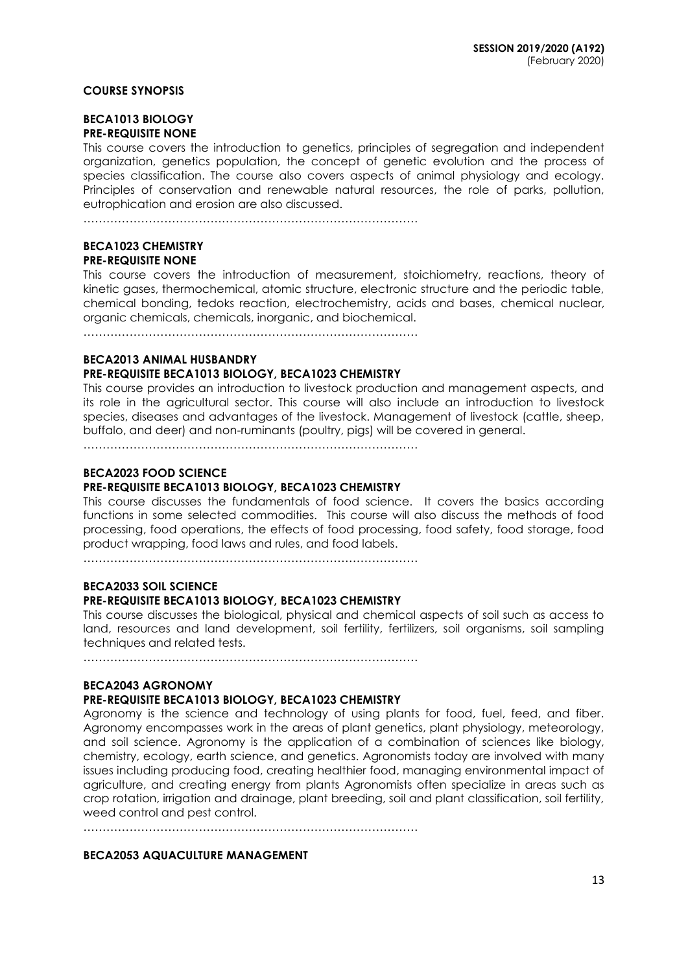#### **COURSE SYNOPSIS**

#### **BECA1013 BIOLOGY PRE-REQUISITE NONE**

This course covers the introduction to genetics, principles of segregation and independent organization, genetics population, the concept of genetic evolution and the process of species classification. The course also covers aspects of animal physiology and ecology. Principles of conservation and renewable natural resources, the role of parks, pollution, eutrophication and erosion are also discussed.

……………………………………………………………………………

#### **BECA1023 CHEMISTRY PRE-REQUISITE NONE**

This course covers the introduction of measurement, stoichiometry, reactions, theory of kinetic gases, thermochemical, atomic structure, electronic structure and the periodic table, chemical bonding, tedoks reaction, electrochemistry, acids and bases, chemical nuclear, organic chemicals, chemicals, inorganic, and biochemical.

……………………………………………………………………………

#### **BECA2013 ANIMAL HUSBANDRY**

## **PRE-REQUISITE BECA1013 BIOLOGY, BECA1023 CHEMISTRY**

This course provides an introduction to livestock production and management aspects, and its role in the agricultural sector. This course will also include an introduction to livestock species, diseases and advantages of the livestock. Management of livestock (cattle, sheep, buffalo, and deer) and non-ruminants (poultry, pigs) will be covered in general.

……………………………………………………………………………

## **BECA2023 FOOD SCIENCE**

## **PRE-REQUISITE BECA1013 BIOLOGY, BECA1023 CHEMISTRY**

This course discusses the fundamentals of food science. It covers the basics according functions in some selected commodities. This course will also discuss the methods of food processing, food operations, the effects of food processing, food safety, food storage, food product wrapping, food laws and rules, and food labels.

……………………………………………………………………………

# **BECA2033 SOIL SCIENCE**

## **PRE-REQUISITE BECA1013 BIOLOGY, BECA1023 CHEMISTRY**

This course discusses the biological, physical and chemical aspects of soil such as access to land, resources and land development, soil fertility, fertilizers, soil organisms, soil sampling techniques and related tests.

……………………………………………………………………………

## **BECA2043 AGRONOMY**

## **PRE-REQUISITE BECA1013 BIOLOGY, BECA1023 CHEMISTRY**

Agronomy is the science and technology of using plants for food, fuel, feed, and fiber. Agronomy encompasses work in the areas of plant genetics, plant physiology, meteorology, and soil science. Agronomy is the application of a combination of sciences like biology, chemistry, ecology, earth science, and genetics. Agronomists today are involved with many issues including producing food, creating healthier food, managing environmental impact of agriculture, and creating energy from plants Agronomists often specialize in areas such as crop rotation, irrigation and drainage, plant breeding, soil and plant classification, soil fertility, weed control and pest control.

……………………………………………………………………………

#### **BECA2053 AQUACULTURE MANAGEMENT**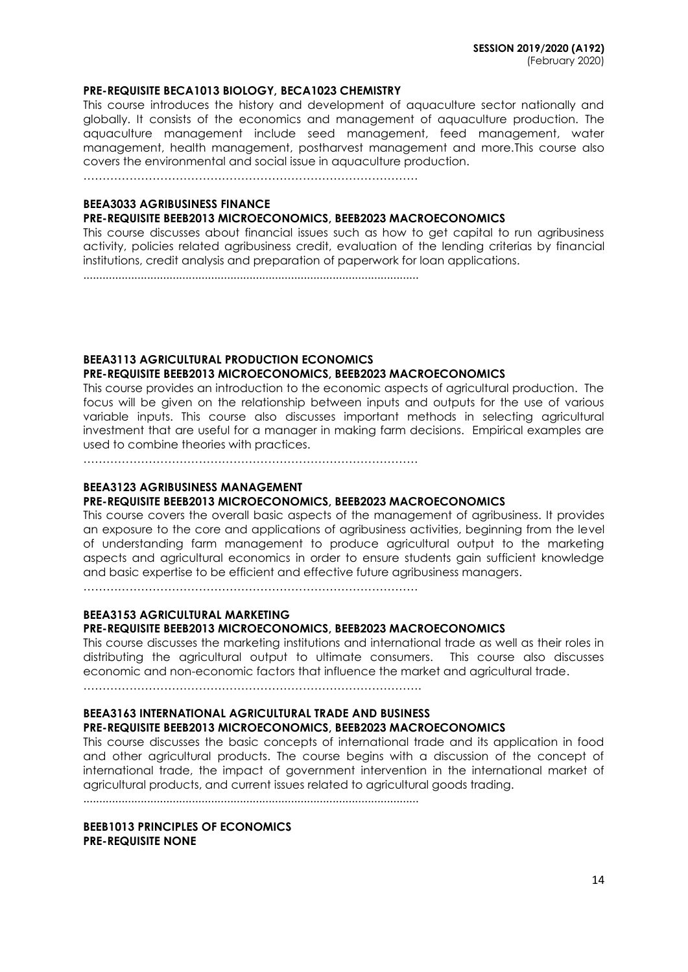#### **PRE-REQUISITE BECA1013 BIOLOGY, BECA1023 CHEMISTRY**

This course introduces the history and development of aquaculture sector nationally and globally. It consists of the economics and management of aquaculture production. The aquaculture management include seed management, feed management, water management, health management, postharvest management and more.This course also covers the environmental and social issue in aquaculture production.

……………………………………………………………………………

## **BEEA3033 AGRIBUSINESS FINANCE**

#### **PRE-REQUISITE BEEB2013 MICROECONOMICS, BEEB2023 MACROECONOMICS**

This course discusses about financial issues such as how to get capital to run agribusiness activity, policies related agribusiness credit, evaluation of the lending criterias by financial institutions, credit analysis and preparation of paperwork for loan applications.

.........................................................................................................

# **BEEA3113 AGRICULTURAL PRODUCTION ECONOMICS**

#### **PRE-REQUISITE BEEB2013 MICROECONOMICS, BEEB2023 MACROECONOMICS**

This course provides an introduction to the economic aspects of agricultural production. The focus will be given on the relationship between inputs and outputs for the use of various variable inputs. This course also discusses important methods in selecting agricultural investment that are useful for a manager in making farm decisions. Empirical examples are used to combine theories with practices.

……………………………………………………………………………

# **BEEA3123 AGRIBUSINESS MANAGEMENT**

# **PRE-REQUISITE BEEB2013 MICROECONOMICS, BEEB2023 MACROECONOMICS**

This course covers the overall basic aspects of the management of agribusiness. It provides an exposure to the core and applications of agribusiness activities, beginning from the level of understanding farm management to produce agricultural output to the marketing aspects and agricultural economics in order to ensure students gain sufficient knowledge and basic expertise to be efficient and effective future agribusiness managers.

……………………………………………………………………………

# **BEEA3153 AGRICULTURAL MARKETING**

# **PRE-REQUISITE BEEB2013 MICROECONOMICS, BEEB2023 MACROECONOMICS**

This course discusses the marketing institutions and international trade as well as their roles in distributing the agricultural output to ultimate consumers. This course also discusses economic and non-economic factors that influence the market and agricultural trade.

…………………………………………………………………………….

## **BEEA3163 INTERNATIONAL AGRICULTURAL TRADE AND BUSINESS PRE-REQUISITE BEEB2013 MICROECONOMICS, BEEB2023 MACROECONOMICS**

This course discusses the basic concepts of international trade and its application in food and other agricultural products. The course begins with a discussion of the concept of international trade, the impact of government intervention in the international market of agricultural products, and current issues related to agricultural goods trading.

.........................................................................................................

**BEEB1013 PRINCIPLES OF ECONOMICS PRE-REQUISITE NONE**